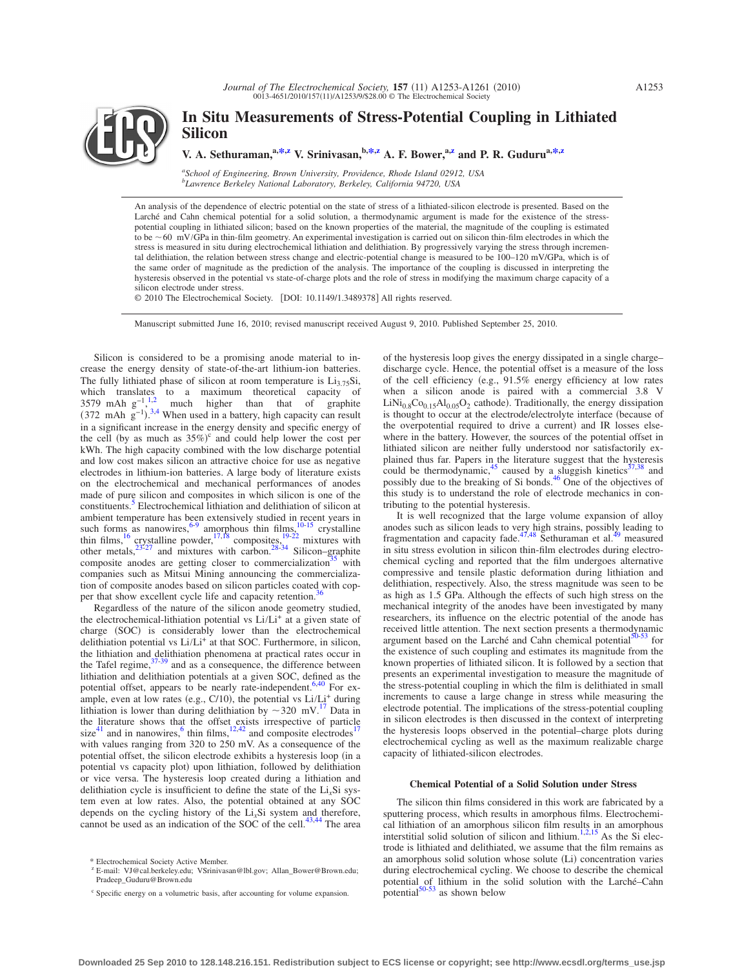# **In Situ Measurements of Stress-Potential Coupling in Lithiated Silicon**

**V. A. Sethuraman,**<sup>a[,\\*](#page-0-0),*z*</sup> **V. Srinivasan,**<sup>b,\*,*z*</sup> **A. F. Bower,**<sup>a,*z*</sup> and P. R. Guduru<sup>a,\*,*z*</sup>

*a School of Engineering, Brown University, Providence, Rhode Island 02912, USA b Lawrence Berkeley National Laboratory, Berkeley, California 94720, USA*

An analysis of the dependence of electric potential on the state of stress of a lithiated-silicon electrode is presented. Based on the Larché and Cahn chemical potential for a solid solution, a thermodynamic argument is made for the existence of the stresspotential coupling in lithiated silicon; based on the known properties of the material, the magnitude of the coupling is estimated to be  $\sim$  60 mV/GPa in thin-film geometry. An experimental investigation is carried out on silicon thin-film electrodes in which the stress is measured in situ during electrochemical lithiation and delithiation. By progressively varying the stress through incremental delithiation, the relation between stress change and electric-potential change is measured to be 100–120 mV/GPa, which is of the same order of magnitude as the prediction of the analysis. The importance of the coupling is discussed in interpreting the hysteresis observed in the potential vs state-of-charge plots and the role of stress in modifying the maximum charge capacity of a silicon electrode under stress.

© 2010 The Electrochemical Society. [DOI: 10.1149/1.3489378] All rights reserved.

Manuscript submitted June 16, 2010; revised manuscript received August 9, 2010. Published September 25, 2010.

Silicon is considered to be a promising anode material to increase the energy density of state-of-the-art lithium-ion batteries. The fully lithiated phase of silicon at room temperature is  $Li_{3.75}Si$ , which translates to a maximum theoretical capacity of 3579 mAh  $g^{-1}$ , much higher than that of graphite  $(372 \text{ mAh g}^{-1})^{3,4}$  $(372 \text{ mAh g}^{-1})^{3,4}$  $(372 \text{ mAh g}^{-1})^{3,4}$  $(372 \text{ mAh g}^{-1})^{3,4}$  When used in a battery, high capacity can result in a significant increase in the energy density and specific energy of the cell (by as much as  $35\%$ )<sup>c</sup> and could help lower the cost per kWh. The high capacity combined with the low discharge potential and low cost makes silicon an attractive choice for use as negative electrodes in lithium-ion batteries. A large body of literature exists on the electrochemical and mechanical performances of anodes made of pure silicon and composites in which silicon is one of the constituents[.5](#page-7-4) Electrochemical lithiation and delithiation of silicon at ambient temperature has been extensively studied in recent years in such forms as nanowires,  $6-9$  $6-9$  amorphous thin films,  $10-15$  $10-15$  crystalline thin films, <sup>16</sup> crystalline powder, <sup>17[,18](#page-7-11)</sup> composites,  $\frac{19-22}{2}$  $\frac{19-22}{2}$  $\frac{19-22}{2}$  mixtures with other metals, $23\frac{23-27}{ }$  $23\frac{23-27}{ }$  $23\frac{23-27}{ }$  and mixtures with carbon. $28\frac{28-34}{ }$  $28\frac{28-34}{ }$  $28\frac{28-34}{ }$  Silicon–graphite composite anodes are getting closer to commercialization<sup>35</sup> with companies such as Mitsui Mining announcing the commercialization of composite anodes based on silicon particles coated with copper that show excellent cycle life and capacity retention.<sup>3</sup>

Regardless of the nature of the silicon anode geometry studied, the electrochemical-lithiation potential vs  $Li/Li^{+}$  at a given state of charge (SOC) is considerably lower than the electrochemical delithiation potential vs  $Li/L<sup>+</sup>$  at that SOC. Furthermore, in silicon, the lithiation and delithiation phenomena at practical rates occur in the Tafel regime, $37-39$  $37-39$  and as a consequence, the difference between lithiation and delithiation potentials at a given SOC, defined as the potential offset, appears to be nearly rate-independent.<sup>6,[40](#page-7-22)</sup> For example, even at low rates (e.g., C/10), the potential vs  $Li/L<sub>i</sub><sup>+</sup>$  during lithiation is lower than during delithiation by  $\sim$ 320 mV.<sup>[17](#page-7-10)</sup> Data in the literature shows that the offset exists irrespective of particle size<sup>41</sup> and in nanowires,<sup>6</sup> thin films,<sup>12,[42](#page-7-25)</sup> and composite electrodes<sup>17</sup> with values ranging from 320 to 250 mV. As a consequence of the potential offset, the silicon electrode exhibits a hysteresis loop (in a potential vs capacity plot) upon lithiation, followed by delithiation or vice versa. The hysteresis loop created during a lithiation and delithiation cycle is insufficient to define the state of the Li*x*Si system even at low rates. Also, the potential obtained at any SOC depends on the cycling history of the Li*x*Si system and therefore, cannot be used as an indication of the SOC of the cell.<sup>43[,44](#page-7-27)</sup> The area

of the hysteresis loop gives the energy dissipated in a single charge– discharge cycle. Hence, the potential offset is a measure of the loss of the cell efficiency (e.g.,  $91.5\%$  energy efficiency at low rates when a silicon anode is paired with a commercial 3.8 V  $LiNi<sub>0.8</sub>Co<sub>0.15</sub>Al<sub>0.05</sub>O<sub>2</sub> cathode). Traditionally, the energy dissipation$ is thought to occur at the electrode/electrolyte interface (because of the overpotential required to drive a current) and IR losses elsewhere in the battery. However, the sources of the potential offset in lithiated silicon are neither fully understood nor satisfactorily ex-plained thus far. Papers in the literature suggest that the hysteresis could be thermodynamic,<sup>45</sup> caused by a sluggish kinetics<sup>37,[38](#page-7-29)</sup> and possibly due to the breaking of Si bonds.<sup>46</sup> One of the objectives of this study is to understand the role of electrode mechanics in contributing to the potential hysteresis.

It is well recognized that the large volume expansion of alloy anodes such as silicon leads to very high strains, possibly leading to fragmentation and capacity fade.<sup>47[,48](#page-7-32)</sup> Sethuraman et al.<sup>49</sup> measured in situ stress evolution in silicon thin-film electrodes during electrochemical cycling and reported that the film undergoes alternative compressive and tensile plastic deformation during lithiation and delithiation, respectively. Also, the stress magnitude was seen to be as high as 1.5 GPa. Although the effects of such high stress on the mechanical integrity of the anodes have been investigated by many researchers, its influence on the electric potential of the anode has received little attention. The next section presents a thermodynamic argument based on the Larché and Cahn chemical potential $50-53$  $50-53$  for the existence of such coupling and estimates its magnitude from the known properties of lithiated silicon. It is followed by a section that presents an experimental investigation to measure the magnitude of the stress-potential coupling in which the film is delithiated in small increments to cause a large change in stress while measuring the electrode potential. The implications of the stress-potential coupling in silicon electrodes is then discussed in the context of interpreting the hysteresis loops observed in the potential–charge plots during electrochemical cycling as well as the maximum realizable charge capacity of lithiated-silicon electrodes.

# **Chemical Potential of a Solid Solution under Stress**

The silicon thin films considered in this work are fabricated by a sputtering process, which results in amorphous films. Electrochemi-cal lithiation of an amorphous silicon film results in an amorphous interstitial solid solution of silicon and lithium.<sup>1[,2](#page-7-1)[,15](#page-7-8)</sup> As the Si electrode is lithiated and delithiated, we assume that the film remains as an amorphous solid solution whose solute (Li) concentration varies during electrochemical cycling. We choose to describe the chemical potential of lithium in the solid solution with the Larché–Cahn potential $50-53$  $50-53$  as shown below

<sup>\*</sup> Electrochemical Society Active Member.

<sup>&</sup>lt;sup>z</sup> E-mail: VJ@cal.berkeley.edu; VSrinivasan@lbl.gov; Allan\_Bower@Brown.edu; Pradeep\_Guduru@Brown.edu

<span id="page-0-1"></span><span id="page-0-0"></span><sup>c</sup> Specific energy on a volumetric basis, after accounting for volume expansion.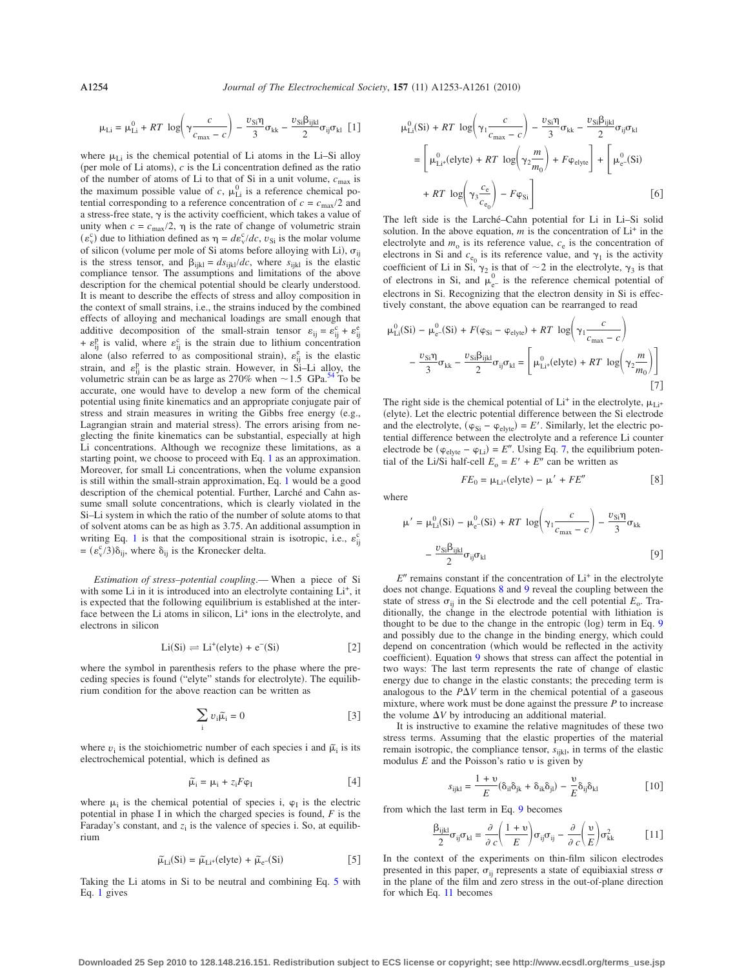$$
\mu_{Li} = \mu_{Li}^0 + RT \log \left( \gamma \frac{c}{c_{\text{max}} - c} \right) - \frac{v_{Si} \eta}{3} \sigma_{kk} - \frac{v_{Si} \beta_{ijkl}}{2} \sigma_{ij} \sigma_{kl} \quad [1]
$$

<span id="page-1-0"></span>where  $\mu_{Li}$  is the chemical potential of Li atoms in the Li–Si alloy (per mole of Li atoms),  $c$  is the Li concentration defined as the ratio of the number of atoms of Li to that of Si in a unit volume,  $c_{\text{max}}$  is the maximum possible value of *c*,  $\mu_{Li}^{0}$  is a reference chemical potential corresponding to a reference concentration of  $c = c_{\text{max}}/2$  and a stress-free state,  $\gamma$  is the activity coefficient, which takes a value of unity when  $c = c_{\text{max}}/2$ ,  $\eta$  is the rate of change of volumetric strain  $(\varepsilon_v^c)$  due to lithiation defined as  $\eta = d\varepsilon_v^c/dc$ ,  $v_{Si}$  is the molar volume of silicon (volume per mole of Si atoms before alloying with Li),  $\sigma_{ij}$ is the stress tensor, and  $\beta_{ijkl} = ds_{ijkl}/dc$ , where  $s_{ijkl}$  is the elastic compliance tensor. The assumptions and limitations of the above description for the chemical potential should be clearly understood. It is meant to describe the effects of stress and alloy composition in the context of small strains, i.e., the strains induced by the combined effects of alloying and mechanical loadings are small enough that additive decomposition of the small-strain tensor  $\varepsilon_{ij} = \varepsilon_{ij}^c + \varepsilon_{ij}^e$ +  $\varepsilon_{ij}^{\text{p}}$  is valid, where  $\varepsilon_{ij}^{\text{c}}$  is the strain due to lithium concentration alone (also referred to as compositional strain),  $\varepsilon_{ij}^e$  is the elastic strain, and  $\varepsilon_{ij}^{\text{p}}$  is the plastic strain. However, in Si–Li alloy, the volumetric strain can be as large as 270% when  $\sim$  1.5 GPa.<sup>54</sup> To be accurate, one would have to develop a new form of the chemical potential using finite kinematics and an appropriate conjugate pair of stress and strain measures in writing the Gibbs free energy (e.g., Lagrangian strain and material stress). The errors arising from neglecting the finite kinematics can be substantial, especially at high Li concentrations. Although we recognize these limitations, as a starting point, we choose to proceed with Eq. [1](#page-1-0) as an approximation. Moreover, for small Li concentrations, when the volume expansion is still within the small-strain approximation, Eq. [1](#page-1-0) would be a good description of the chemical potential. Further, Larché and Cahn assume small solute concentrations, which is clearly violated in the Si–Li system in which the ratio of the number of solute atoms to that of solvent atoms can be as high as 3.75. An additional assumption in writing Eq. [1](#page-1-0) is that the compositional strain is isotropic, i.e.,  $\varepsilon_{ij}^c$  $=(\varepsilon_{\rm v}^{\rm c}/3)\delta_{\rm ij}$ , where  $\delta_{\rm ij}$  is the Kronecker delta.

*Estimation of stress–potential coupling*.— When a piece of Si with some Li in it is introduced into an electrolyte containing  $Li<sup>+</sup>$ , it is expected that the following equilibrium is established at the interface between the Li atoms in silicon, Li<sup>+</sup> ions in the electrolyte, and electrons in silicon

$$
Li(Si) \rightleftharpoons Li^{+}(elyte) + e^{-}(Si)
$$
 [2]

where the symbol in parenthesis refers to the phase where the preceding species is found ("elyte" stands for electrolyte). The equilibrium condition for the above reaction can be written as

$$
\sum_{i} v_i \tilde{\mu}_i = 0
$$
 [3]

where  $v_i$  is the stoichiometric number of each species i and  $\tilde{\mu}_i$  is its electrochemical potential, which is defined as

$$
\widetilde{\mu}_i = \mu_i + z_i F \varphi_I \tag{4}
$$

where  $\mu_i$  is the chemical potential of species i,  $\varphi_I$  is the electric potential in phase I in which the charged species is found, *F* is the Faraday's constant, and  $z_i$  is the valence of species i. So, at equilibrium

$$
\widetilde{\mu}_{Li}(Si) = \widetilde{\mu}_{Li^+}(elyte) + \widetilde{\mu}_e-(Si)
$$
\n[5]

<span id="page-1-1"></span>Taking the Li atoms in Si to be neutral and combining Eq. [5](#page-1-1) with Eq. [1](#page-1-0) gives

$$
\mu_{Li}^{0}(Si) + RT \log \left(\gamma_{1} \frac{c}{c_{\text{max}} - c}\right) - \frac{v_{Si} \eta}{3} \sigma_{kk} - \frac{v_{Si} \beta_{ijkl}}{2} \sigma_{ij} \sigma_{kl}
$$
\n
$$
= \left[ \mu_{Li^{+}}^{0}(elyte) + RT \log \left(\gamma_{2} \frac{m}{m_{0}}\right) + F \varphi_{elyte} \right] + \left[ \mu_{e^{-}}^{0}(Si) + RT \log \left(\gamma_{3} \frac{c_{e}}{c_{e_{0}}}\right) - F \varphi_{Si} \right]
$$
\n
$$
(6)
$$

The left side is the Larché–Cahn potential for Li in Li–Si solid solution. In the above equation,  $m$  is the concentration of  $Li<sup>+</sup>$  in the electrolyte and  $m_0$  is its reference value,  $c_e$  is the concentration of electrons in Si and  $c_{e_0}$  is its reference value, and  $\gamma_1$  is the activity coefficient of Li in Si,  $\gamma_2$  is that of  $\sim$  2 in the electrolyte,  $\gamma_3$  is that of electrons in Si, and  $\mu_{e^-}^0$  is the reference chemical potential of electrons in Si. Recognizing that the electron density in Si is effectively constant, the above equation can be rearranged to read

<span id="page-1-2"></span>
$$
\mu_{Li}^{0}(Si) - \mu_{e^{-}}^{0}(Si) + F(\varphi_{Si} - \varphi_{elyte}) + RT \log \left(\gamma_{1} \frac{c}{c_{\text{max}} - c}\right)
$$

$$
- \frac{\nu_{Si}\eta}{3}\sigma_{kk} - \frac{\nu_{Si}\beta_{ijk}}{2}\sigma_{ij}\sigma_{kl} = \left[\mu_{Li^{+}}^{0}(elyte) + RT \log \left(\gamma_{2} \frac{m}{m_{0}}\right)\right]
$$

$$
\tag{7}
$$

The right side is the chemical potential of  $Li^+$  in the electrolyte,  $\mu_{Li^+}$ elyte. Let the electric potential difference between the Si electrode and the electrolyte,  $(\varphi_{Si} - \varphi_{elyte}) = E'$ . Similarly, let the electric potential difference between the electrolyte and a reference Li counter electrode be  $(\varphi_{\text{elyte}} - \varphi_{\text{Li}}) = E''$ . Using Eq. [7,](#page-1-2) the equilibrium potential of the Li/Si half-cell  $E_0 = E' + E''$  can be written as

$$
FE_0 = \mu_{Li^+}(elyte) - \mu' + FE''
$$
 [8]

<span id="page-1-3"></span>where

$$
\mu' = \mu_{Li}^0(Si) - \mu_{e^-}^0(Si) + RT \log \left( \gamma_1 \frac{c}{c_{\text{max}} - c} \right) - \frac{v_{Si} \eta}{3} \sigma_{kk}
$$

$$
- \frac{v_{Si} \beta_{ijkl}}{2} \sigma_{ij} \sigma_{kl} \tag{9}
$$

<span id="page-1-4"></span>E<sup>"</sup> remains constant if the concentration of Li<sup>+</sup> in the electrolyte does not change. Equations [8](#page-1-3) and [9](#page-1-4) reveal the coupling between the state of stress  $\sigma_{ij}$  in the Si electrode and the cell potential  $E_o$ . Traditionally, the change in the electrode potential with lithiation is thought to be due to the change in the entropic  $(\log)$  term in Eq. [9](#page-1-4) and possibly due to the change in the binding energy, which could depend on concentration (which would be reflected in the activity coefficient). Equation [9](#page-1-4) shows that stress can affect the potential in two ways: The last term represents the rate of change of elastic energy due to change in the elastic constants; the preceding term is analogous to the  $P\Delta V$  term in the chemical potential of a gaseous mixture, where work must be done against the pressure *P* to increase the volume  $\Delta V$  by introducing an additional material.

It is instructive to examine the relative magnitudes of these two stress terms. Assuming that the elastic properties of the material remain isotropic, the compliance tensor,  $s_{ijkl}$ , in terms of the elastic modulus  $E$  and the Poisson's ratio  $v$  is given by

$$
s_{ijkl} = \frac{1+v}{E} (\delta_{il}\delta_{jk} + \delta_{ik}\delta_{jl}) - \frac{v}{E} \delta_{ij}\delta_{kl}
$$
 [10]

from which the last term in Eq. [9](#page-1-4) becomes

$$
\frac{\beta_{ijkl}}{2}\sigma_{ij}\sigma_{kl} = \frac{\partial}{\partial c}\left(\frac{1+v}{E}\right)\sigma_{ij}\sigma_{ij} - \frac{\partial}{\partial c}\left(\frac{v}{E}\right)\sigma_{kk}^{2}
$$
 [11]

<span id="page-1-5"></span>In the context of the experiments on thin-film silicon electrodes presented in this paper,  $\sigma_{ij}$  represents a state of equibiaxial stress  $\sigma$ in the plane of the film and zero stress in the out-of-plane direction for which Eq. [11](#page-1-5) becomes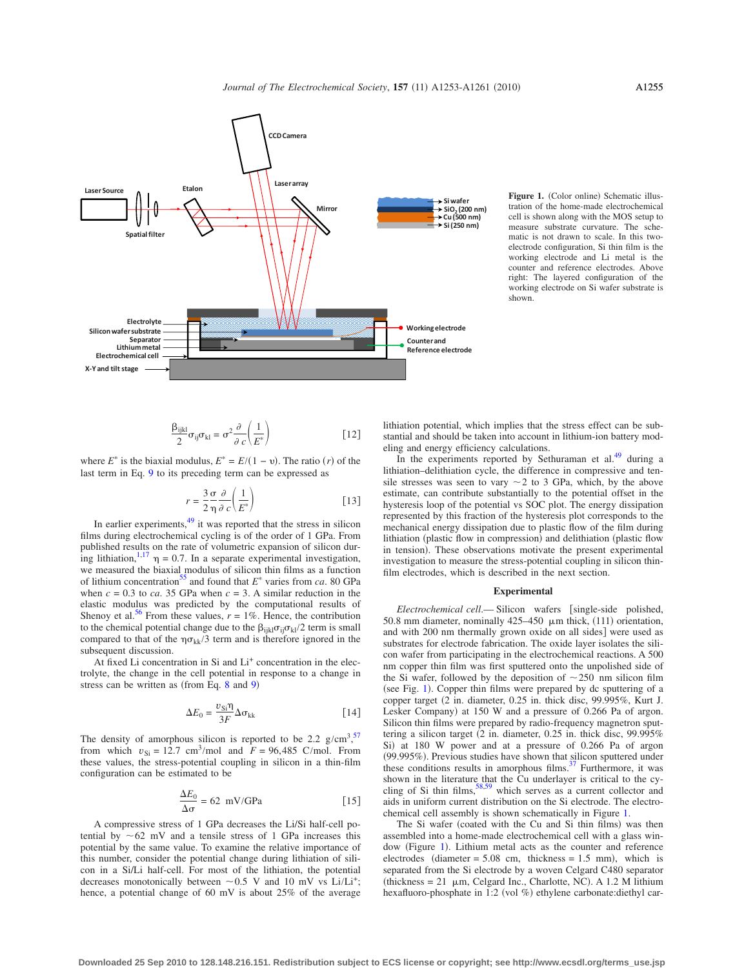<span id="page-2-0"></span>

Figure 1. (Color online) Schematic illustration of the home-made electrochemical cell is shown along with the MOS setup to measure substrate curvature. The schematic is not drawn to scale. In this twoelectrode configuration, Si thin film is the working electrode and Li metal is the counter and reference electrodes. Above right: The layered configuration of the working electrode on Si wafer substrate is shown.

$$
\frac{\beta_{ijkl}}{2}\sigma_{ij}\sigma_{kl} = \sigma^2 \frac{\partial}{\partial c} \left(\frac{1}{E^*}\right)
$$
 [12]

where  $E^*$  is the biaxial modulus,  $E^* = E/(1 - v)$ . The ratio (*r*) of the last term in Eq. [9](#page-1-4) to its preceding term can be expressed as

$$
r = \frac{3}{2} \frac{\sigma}{\eta} \frac{\partial}{\partial c} \left( \frac{1}{E^*} \right) \tag{13}
$$

In earlier experiments, $49$  it was reported that the stress in silicon films during electrochemical cycling is of the order of 1 GPa. From published results on the rate of volumetric expansion of silicon during lithiation,  $\ln 17 \eta = 0.7$ . In a separate experimental investigation, we measured the biaxial modulus of silicon thin films as a function of lithium concentration<sup>35</sup> and found that  $E^*$  varies from *ca*. 80 GPa when  $c = 0.3$  to *ca*. 35 GPa when  $c = 3$ . A similar reduction in the elastic modulus was predicted by the computational results of Shenoy et al.<sup>56</sup> From these values,  $r = 1\%$ . Hence, the contribution to the chemical potential change due to the  $\beta_{ijkl}\sigma_{ij}\sigma_{kl}/2$  term is small compared to that of the  $\eta \sigma_{kk}/3$  term and is therefore ignored in the subsequent discussion.

At fixed Li concentration in Si and Li<sup>+</sup> concentration in the electrolyte, the change in the cell potential in response to a change in stress can be written as (from Eq.  $8$  and  $9$ )

$$
\Delta E_0 = \frac{v_{\rm Si}\eta}{3F} \Delta \sigma_{\rm kk} \tag{14}
$$

<span id="page-2-1"></span>The density of amorphous silicon is reported to be 2.2  $g/cm<sup>3</sup>$ ,<sup>[57](#page-8-6)</sup> from which  $v_{\text{Si}} = 12.7 \text{ cm}^3/\text{mol}$  and  $F = 96,485 \text{ C/mol}$ . From these values, the stress-potential coupling in silicon in a thin-film configuration can be estimated to be

$$
\frac{\Delta E_0}{\Delta \sigma} = 62 \text{ mV/GPa} \tag{15}
$$

A compressive stress of 1 GPa decreases the Li/Si half-cell potential by  $\sim 62$  mV and a tensile stress of 1 GPa increases this potential by the same value. To examine the relative importance of this number, consider the potential change during lithiation of silicon in a Si/Li half-cell. For most of the lithiation, the potential decreases monotonically between  $\sim 0.5$  V and 10 mV vs Li/Li<sup>+</sup>; hence, a potential change of 60 mV is about 25% of the average

lithiation potential, which implies that the stress effect can be substantial and should be taken into account in lithium-ion battery modeling and energy efficiency calculations.

In the experiments reported by Sethuraman et al.<sup>49</sup> during a lithiation–delithiation cycle, the difference in compressive and tensile stresses was seen to vary  $\sim$  2 to 3 GPa, which, by the above estimate, can contribute substantially to the potential offset in the hysteresis loop of the potential vs SOC plot. The energy dissipation represented by this fraction of the hysteresis plot corresponds to the mechanical energy dissipation due to plastic flow of the film during lithiation (plastic flow in compression) and delithiation (plastic flow in tension). These observations motivate the present experimental investigation to measure the stress-potential coupling in silicon thinfilm electrodes, which is described in the next section.

### **Experimental**

*Electrochemical cell.*— Silicon wafers [single-side polished, 50.8 mm diameter, nominally  $425-450 \mu m$  thick, (111) orientation, and with 200 nm thermally grown oxide on all sides] were used as substrates for electrode fabrication. The oxide layer isolates the silicon wafer from participating in the electrochemical reactions. A 500 nm copper thin film was first sputtered onto the unpolished side of the Si wafer, followed by the deposition of  $\sim$  250 nm silicon film (see Fig. [1](#page-2-0)). Copper thin films were prepared by  $\alpha$  sputtering of a copper target (2 in. diameter, 0.25 in. thick disc, 99.995%, Kurt J. Lesker Company) at 150 W and a pressure of 0.266 Pa of argon. Silicon thin films were prepared by radio-frequency magnetron sputtering a silicon target  $(2 \text{ in. diameter}, 0.25 \text{ in. thick disc}, 99.995\%)$ Si) at 180 W power and at a pressure of 0.266 Pa of argon 99.995%. Previous studies have shown that silicon sputtered under these conditions results in amorphous films.<sup>37</sup> Furthermore, it was shown in the literature that the Cu underlayer is critical to the cy-<br>cling of Si thin films,<sup>58,[59](#page-8-8)</sup> which serves as a current collector and aids in uniform current distribution on the Si electrode. The electrochemical cell assembly is shown schematically in Figure [1.](#page-2-0)

The Si wafer (coated with the Cu and Si thin films) was then assembled into a home-made electrochemical cell with a glass win-dow (Figure [1](#page-2-0)). Lithium metal acts as the counter and reference electrodes (diameter  $= 5.08$  cm, thickness  $= 1.5$  mm), which is separated from the Si electrode by a woven Celgard C480 separator  $thickness = 21 \mu m$ , Celgard Inc., Charlotte, NC). A 1.2 M lithium hexafluoro-phosphate in 1:2 (vol %) ethylene carbonate:diethyl car-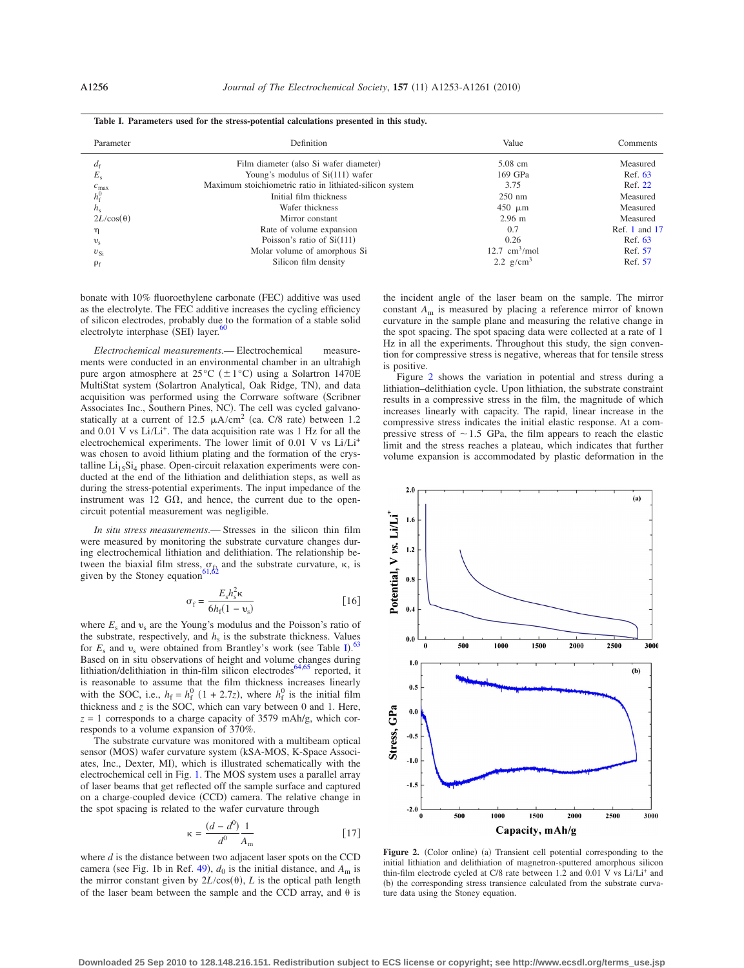<span id="page-3-0"></span>

| Parameter         | Definition                                               | Value                          | Comments        |
|-------------------|----------------------------------------------------------|--------------------------------|-----------------|
| ағ                | Film diameter (also Si wafer diameter)                   | $5.08$ cm                      | Measured        |
| $E_{\rm s}$       | Young's modulus of $Si(111)$ wafer                       | 169 GPa                        | Ref. 63         |
| $c_{\text{max}}$  | Maximum stoichiometric ratio in lithiated-silicon system | 3.75                           | Ref. 22         |
| $h^0_{\epsilon}$  | Initial film thickness                                   | $250 \text{ nm}$               | Measured        |
| $h_{\rm s}$       | Wafer thickness                                          | $450 \mu m$                    | Measured        |
| $2L/\cos(\theta)$ | Mirror constant                                          | $2.96 \text{ m}$               | Measured        |
| η                 | Rate of volume expansion                                 | 0.7                            | Ref. 1 and $17$ |
| $v_{\rm s}$       | Poisson's ratio of $Si(111)$                             | 0.26                           | Ref. 63         |
| $v_{\rm Si}$      | Molar volume of amorphous Si                             | $12.7 \text{ cm}^3/\text{mol}$ | Ref. 57         |
| $\rho_f$          | Silicon film density                                     | 2.2 $g/cm^3$                   | Ref. 57         |

**Table I. Parameters used for the stress-potential calculations presented in this study.**

bonate with 10% fluoroethylene carbonate (FEC) additive was used as the electrolyte. The FEC additive increases the cycling efficiency of silicon electrodes, probably due to the formation of a stable solid electrolyte interphase (SEI) layer. $60$ 

*Electrochemical measurements*.— Electrochemical measurements were conducted in an environmental chamber in an ultrahigh pure argon atmosphere at  $25^{\circ}C$  ( $\pm 1^{\circ}C$ ) using a Solartron 1470E MultiStat system (Solartron Analytical, Oak Ridge, TN), and data acquisition was performed using the Corrware software (Scribner Associates Inc., Southern Pines, NC). The cell was cycled galvanostatically at a current of 12.5  $\mu$ A/cm<sup>2</sup> (ca. C/8 rate) between 1.2 and  $0.01$  V vs  $Li/Li^{+}$ . The data acquisition rate was 1 Hz for all the electrochemical experiments. The lower limit of 0.01 V vs Li/Li+ was chosen to avoid lithium plating and the formation of the crystalline  $Li<sub>15</sub>Si<sub>4</sub> phase$ . Open-circuit relaxation experiments were conducted at the end of the lithiation and delithiation steps, as well as during the stress-potential experiments. The input impedance of the instrument was 12  $G\Omega$ , and hence, the current due to the opencircuit potential measurement was negligible.

*In situ stress measurements*.— Stresses in the silicon thin film were measured by monitoring the substrate curvature changes during electrochemical lithiation and delithiation. The relationship between the biaxial film stress,  $\sigma_f$ , and the substrate curvature,  $\kappa$ , is given by the Stoney equation<sup>6</sup>

$$
\sigma_{\rm f} = \frac{E_{\rm s} h_{\rm s}^2 \kappa}{6h_{\rm f}(1 - v_{\rm s})}
$$
 [16]

where  $E_s$  and  $v_s$  are the Young's modulus and the Poisson's ratio of the substrate, respectively, and  $h<sub>s</sub>$  is the substrate thickness. Values for  $E_s$  and  $v_s$  were obtained from Brantley's work (see Table [I](#page-3-0)).<sup>[63](#page-8-12)</sup> Based on in situ observations of height and volume changes during<br>lithiation/delithiation in thin-film silicon electrodes<sup>64[,65](#page-8-14)</sup> reported, it is reasonable to assume that the film thickness increases linearly with the SOC, i.e.,  $h_f = h_f^0$  (1 + 2.7*z*), where  $h_f^0$  is the initial film thickness and  $\zeta$  is the SOC, which can vary between 0 and 1. Here,  $z = 1$  corresponds to a charge capacity of 3579 mAh/g, which corresponds to a volume expansion of 370%.

The substrate curvature was monitored with a multibeam optical sensor (MOS) wafer curvature system (kSA-MOS, K-Space Associates, Inc., Dexter, MI, which is illustrated schematically with the electrochemical cell in Fig. [1.](#page-2-0) The MOS system uses a parallel array of laser beams that get reflected off the sample surface and captured on a charge-coupled device (CCD) camera. The relative change in the spot spacing is related to the wafer curvature through

$$
\kappa = \frac{(d - d^0)}{d^0} \frac{1}{A_m} \tag{17}
$$

where *d* is the distance between two adjacent laser spots on the CCD camera (see Fig. 1b in Ref. [49](#page-8-0)),  $d_0$  is the initial distance, and  $A_m$  is the mirror constant given by  $2L/\cos(\theta)$ , *L* is the optical path length of the laser beam between the sample and the CCD array, and  $\theta$  is the incident angle of the laser beam on the sample. The mirror constant *A*<sup>m</sup> is measured by placing a reference mirror of known curvature in the sample plane and measuring the relative change in the spot spacing. The spot spacing data were collected at a rate of 1 Hz in all the experiments. Throughout this study, the sign convention for compressive stress is negative, whereas that for tensile stress is positive.

Figure [2](#page-3-1) shows the variation in potential and stress during a lithiation–delithiation cycle. Upon lithiation, the substrate constraint results in a compressive stress in the film, the magnitude of which increases linearly with capacity. The rapid, linear increase in the compressive stress indicates the initial elastic response. At a compressive stress of  $\sim$  1.5 GPa, the film appears to reach the elastic limit and the stress reaches a plateau, which indicates that further volume expansion is accommodated by plastic deformation in the

<span id="page-3-1"></span>

Figure 2. (Color online) (a) Transient cell potential corresponding to the initial lithiation and delithiation of magnetron-sputtered amorphous silicon thin-film electrode cycled at C/8 rate between 1.2 and 0.01 V vs Li/Li+ and b the corresponding stress transience calculated from the substrate curvature data using the Stoney equation.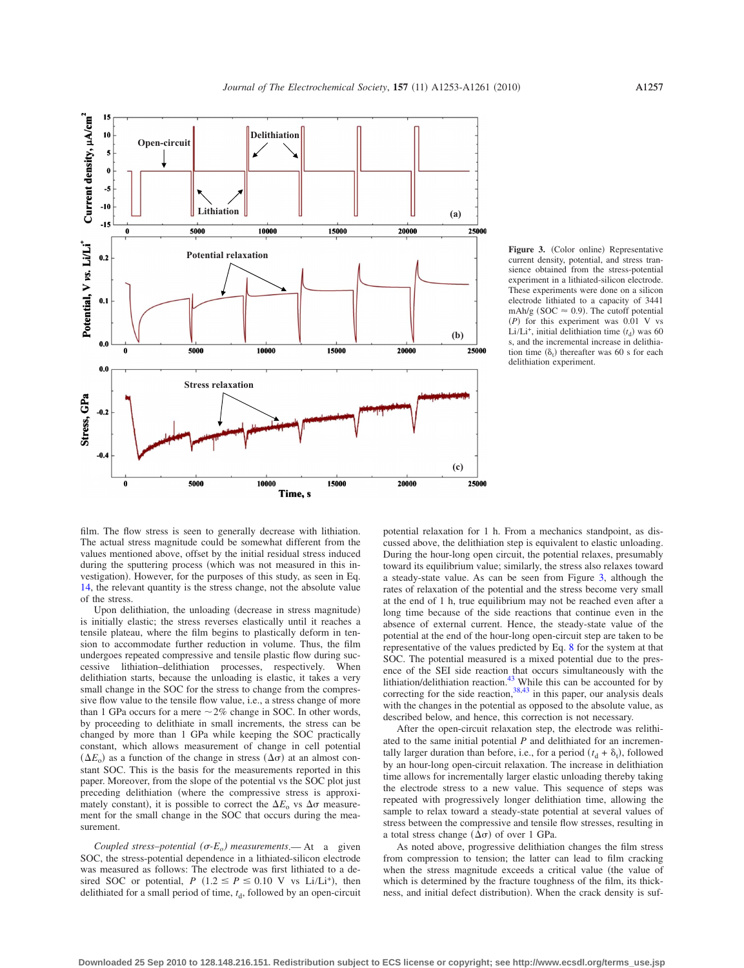<span id="page-4-0"></span>

**Figure 3.** (Color online) Representative current density, potential, and stress transience obtained from the stress-potential experiment in a lithiated-silicon electrode. These experiments were done on a silicon electrode lithiated to a capacity of 3441 mAh/g (SOC  $\approx$  0.9). The cutoff potential *(P)* for this experiment was 0.01 V vs Li/Li<sup>+</sup>, initial delithiation time  $(t_d)$  was 60 s, and the incremental increase in delithiation time  $(\delta_t)$  thereafter was 60 s for each delithiation experiment.

film. The flow stress is seen to generally decrease with lithiation. The actual stress magnitude could be somewhat different from the values mentioned above, offset by the initial residual stress induced during the sputtering process (which was not measured in this investigation). However, for the purposes of this study, as seen in Eq. [14,](#page-2-1) the relevant quantity is the stress change, not the absolute value of the stress.

Upon delithiation, the unloading (decrease in stress magnitude) is initially elastic; the stress reverses elastically until it reaches a tensile plateau, where the film begins to plastically deform in tension to accommodate further reduction in volume. Thus, the film undergoes repeated compressive and tensile plastic flow during successive lithiation–delithiation processes, respectively. When delithiation starts, because the unloading is elastic, it takes a very small change in the SOC for the stress to change from the compressive flow value to the tensile flow value, i.e., a stress change of more than 1 GPa occurs for a mere  $\sim$  2% change in SOC. In other words, by proceeding to delithiate in small increments, the stress can be changed by more than 1 GPa while keeping the SOC practically constant, which allows measurement of change in cell potential  $(\Delta E_o)$  as a function of the change in stress  $(\Delta \sigma)$  at an almost constant SOC. This is the basis for the measurements reported in this paper. Moreover, from the slope of the potential vs the SOC plot just preceding delithiation where the compressive stress is approximately constant), it is possible to correct the  $\Delta E$ <sub>o</sub> vs  $\Delta \sigma$  measurement for the small change in the SOC that occurs during the measurement.

*Coupled stress–potential*  $(\sigma-E_o)$  *measurements*.— At a given SOC, the stress-potential dependence in a lithiated-silicon electrode was measured as follows: The electrode was first lithiated to a desired SOC or potential, *P* (1.2  $\leq$  *P*  $\leq$  0.10 V vs Li/Li<sup>+</sup>), then delithiated for a small period of time,  $t<sub>d</sub>$ , followed by an open-circuit

potential relaxation for 1 h. From a mechanics standpoint, as discussed above, the delithiation step is equivalent to elastic unloading. During the hour-long open circuit, the potential relaxes, presumably toward its equilibrium value; similarly, the stress also relaxes toward a steady-state value. As can be seen from Figure [3,](#page-4-0) although the rates of relaxation of the potential and the stress become very small at the end of 1 h, true equilibrium may not be reached even after a long time because of the side reactions that continue even in the absence of external current. Hence, the steady-state value of the potential at the end of the hour-long open-circuit step are taken to be representative of the values predicted by Eq. [8](#page-1-3) for the system at that SOC. The potential measured is a mixed potential due to the presence of the SEI side reaction that occurs simultaneously with the lithiation/delithiation reaction. $43$  While this can be accounted for by correcting for the side reaction,  $38,43$  $38,43$  in this paper, our analysis deals with the changes in the potential as opposed to the absolute value, as described below, and hence, this correction is not necessary.

After the open-circuit relaxation step, the electrode was relithiated to the same initial potential *P* and delithiated for an incrementally larger duration than before, i.e., for a period  $(t_d + \delta_t)$ , followed by an hour-long open-circuit relaxation. The increase in delithiation time allows for incrementally larger elastic unloading thereby taking the electrode stress to a new value. This sequence of steps was repeated with progressively longer delithiation time, allowing the sample to relax toward a steady-state potential at several values of stress between the compressive and tensile flow stresses, resulting in a total stress change  $(\Delta \sigma)$  of over 1 GPa.

As noted above, progressive delithiation changes the film stress from compression to tension; the latter can lead to film cracking when the stress magnitude exceeds a critical value (the value of which is determined by the fracture toughness of the film, its thickness, and initial defect distribution). When the crack density is suf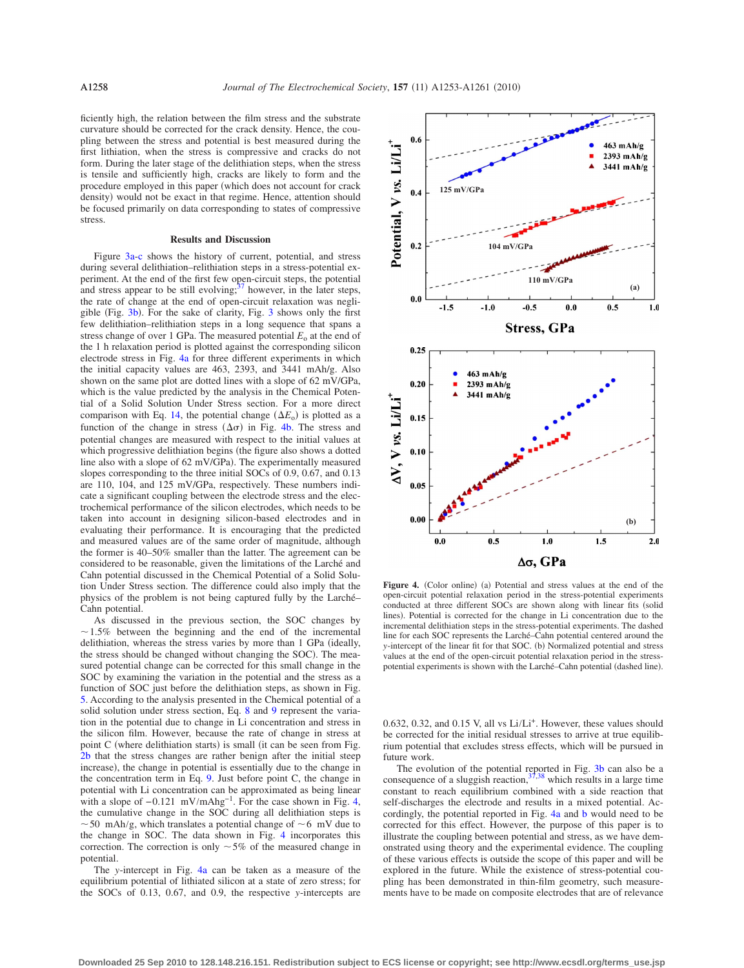ficiently high, the relation between the film stress and the substrate curvature should be corrected for the crack density. Hence, the coupling between the stress and potential is best measured during the first lithiation, when the stress is compressive and cracks do not form. During the later stage of the delithiation steps, when the stress is tensile and sufficiently high, cracks are likely to form and the procedure employed in this paper (which does not account for crack density) would not be exact in that regime. Hence, attention should be focused primarily on data corresponding to states of compressive stress.

## **Results and Discussion**

Figure [3a-c](#page-4-0) shows the history of current, potential, and stress during several delithiation–relithiation steps in a stress-potential experiment. At the end of the first few open-circuit steps, the potential and stress appear to be still evolving;<sup>37</sup> however, in the later steps, the rate of change at the end of open-circuit relaxation was negligible (Fig.  $3b$ ). For the sake of clarity, Fig.  $3$  shows only the first few delithiation–relithiation steps in a long sequence that spans a stress change of over 1 GPa. The measured potential  $E_0$  at the end of the 1 h relaxation period is plotted against the corresponding silicon electrode stress in Fig. [4a](#page-5-0) for three different experiments in which the initial capacity values are 463, 2393, and 3441 mAh/g. Also shown on the same plot are dotted lines with a slope of 62 mV/GPa, which is the value predicted by the analysis in the Chemical Potential of a Solid Solution Under Stress section. For a more direct comparison with Eq. [14,](#page-2-1) the potential change  $(\Delta E_o)$  is plotted as a function of the change in stress  $(\Delta \sigma)$  in Fig. [4b.](#page-5-0) The stress and potential changes are measured with respect to the initial values at which progressive delithiation begins (the figure also shows a dotted line also with a slope of  $62 \text{ mV/GPa}$ . The experimentally measured slopes corresponding to the three initial SOCs of 0.9, 0.67, and 0.13 are 110, 104, and 125 mV/GPa, respectively. These numbers indicate a significant coupling between the electrode stress and the electrochemical performance of the silicon electrodes, which needs to be taken into account in designing silicon-based electrodes and in evaluating their performance. It is encouraging that the predicted and measured values are of the same order of magnitude, although the former is 40–50% smaller than the latter. The agreement can be considered to be reasonable, given the limitations of the Larché and Cahn potential discussed in the Chemical Potential of a Solid Solution Under Stress section. The difference could also imply that the physics of the problem is not being captured fully by the Larché– Cahn potential.

As discussed in the previous section, the SOC changes by  $\sim$  1.5% between the beginning and the end of the incremental delithiation, whereas the stress varies by more than 1 GPa (ideally, the stress should be changed without changing the SOC). The measured potential change can be corrected for this small change in the SOC by examining the variation in the potential and the stress as a function of SOC just before the delithiation steps, as shown in Fig. [5.](#page-6-0) According to the analysis presented in the Chemical potential of a solid solution under stress section, Eq. [8](#page-1-3) and [9](#page-1-4) represent the variation in the potential due to change in Li concentration and stress in the silicon film. However, because the rate of change in stress at point C (where delithiation starts) is small (it can be seen from Fig. [2b](#page-3-1) that the stress changes are rather benign after the initial steep increase), the change in potential is essentially due to the change in the concentration term in Eq. [9.](#page-1-4) Just before point C, the change in potential with Li concentration can be approximated as being linear with a slope of  $-0.121$  mV/mAhg<sup>-1</sup>. For the case shown in Fig. [4,](#page-5-0) the cumulative change in the SOC during all delithiation steps is  $\sim$  50 mAh/g, which translates a potential change of  $\sim$  6 mV due to the change in SOC. The data shown in Fig. [4](#page-5-0) incorporates this correction. The correction is only  $\sim$  5% of the measured change in potential.

The *y*-intercept in Fig. [4a](#page-5-0) can be taken as a measure of the equilibrium potential of lithiated silicon at a state of zero stress; for the SOCs of 0.13, 0.67, and 0.9, the respective *y*-intercepts are

<span id="page-5-0"></span>

Figure 4. (Color online) (a) Potential and stress values at the end of the open-circuit potential relaxation period in the stress-potential experiments conducted at three different SOCs are shown along with linear fits (solid lines). Potential is corrected for the change in Li concentration due to the incremental delithiation steps in the stress-potential experiments. The dashed line for each SOC represents the Larché–Cahn potential centered around the *y*-intercept of the linear fit for that SOC. (b) Normalized potential and stress values at the end of the open-circuit potential relaxation period in the stresspotential experiments is shown with the Larché–Cahn potential (dashed line).

0.632, 0.32, and 0.15 V, all vs  $Li/Li^{+}$ . However, these values should be corrected for the initial residual stresses to arrive at true equilibrium potential that excludes stress effects, which will be pursued in future work.

The evolution of the potential reported in Fig. [3b](#page-4-0) can also be a consequence of a sluggish reaction,  $37,38$  $37,38$  which results in a large time constant to reach equilibrium combined with a side reaction that self-discharges the electrode and results in a mixed potential. Accordingly, the potential reported in Fig. [4a](#page-5-0) and [b](#page-5-0) would need to be corrected for this effect. However, the purpose of this paper is to illustrate the coupling between potential and stress, as we have demonstrated using theory and the experimental evidence. The coupling of these various effects is outside the scope of this paper and will be explored in the future. While the existence of stress-potential coupling has been demonstrated in thin-film geometry, such measurements have to be made on composite electrodes that are of relevance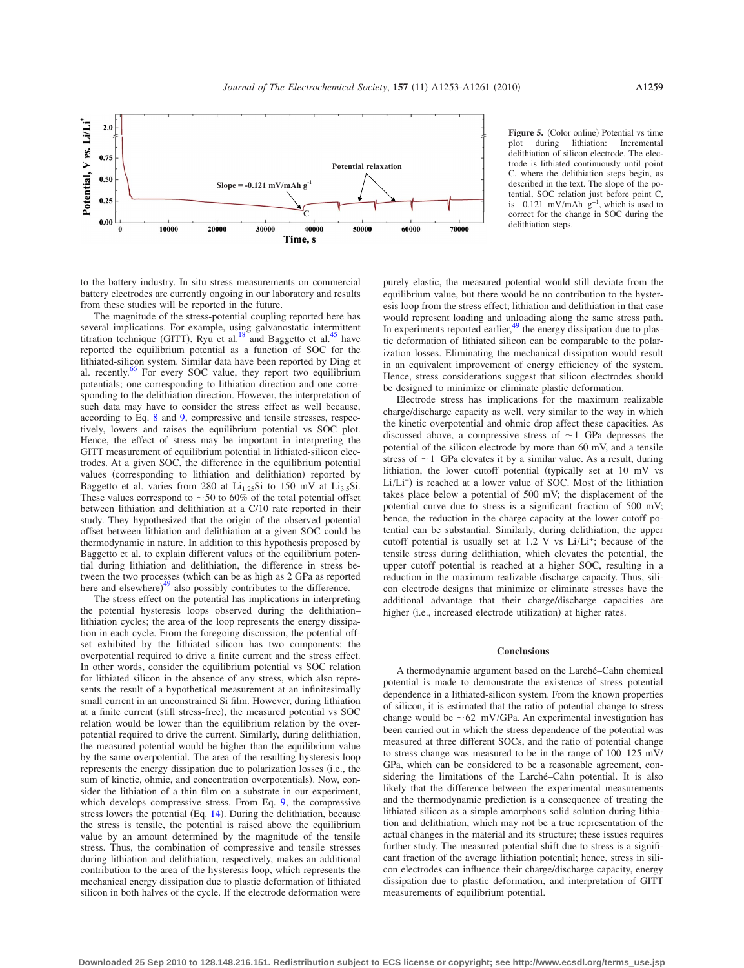<span id="page-6-0"></span>

**Figure 5.** (Color online) Potential vs time plot during lithiation: Incremental during lithiation: Incremental delithiation of silicon electrode. The electrode is lithiated continuously until point C, where the delithiation steps begin, as described in the text. The slope of the potential, SOC relation just before point C, is  $-0.121$  mV/mAh  $g^{-1}$ , which is used to correct for the change in SOC during the delithiation steps.

to the battery industry. In situ stress measurements on commercial battery electrodes are currently ongoing in our laboratory and results from these studies will be reported in the future.

The magnitude of the stress-potential coupling reported here has several implications. For example, using galvanostatic intermittent titration technique (GITT), Ryu et al.<sup>18</sup> and Baggetto et al.<sup>45</sup> have reported the equilibrium potential as a function of SOC for the lithiated-silicon system. Similar data have been reported by Ding et al. recently.<sup>66</sup> For every SOC value, they report two equilibrium potentials; one corresponding to lithiation direction and one corresponding to the delithiation direction. However, the interpretation of such data may have to consider the stress effect as well because, according to Eq. [8](#page-1-3) and [9,](#page-1-4) compressive and tensile stresses, respectively, lowers and raises the equilibrium potential vs SOC plot. Hence, the effect of stress may be important in interpreting the GITT measurement of equilibrium potential in lithiated-silicon electrodes. At a given SOC, the difference in the equilibrium potential values (corresponding to lithiation and delithiation) reported by Baggetto et al. varies from 280 at  $Li_{1.25}Si$  to 150 mV at  $Li_{3.5}Si$ . These values correspond to  $\sim$  50 to 60% of the total potential offset between lithiation and delithiation at a C/10 rate reported in their study. They hypothesized that the origin of the observed potential offset between lithiation and delithiation at a given SOC could be thermodynamic in nature. In addition to this hypothesis proposed by Baggetto et al. to explain different values of the equilibrium potential during lithiation and delithiation, the difference in stress between the two processes (which can be as high as 2 GPa as reported here and elsewhere)<sup>[49](#page-8-0)</sup> also possibly contributes to the difference.

The stress effect on the potential has implications in interpreting the potential hysteresis loops observed during the delithiation– lithiation cycles; the area of the loop represents the energy dissipation in each cycle. From the foregoing discussion, the potential offset exhibited by the lithiated silicon has two components: the overpotential required to drive a finite current and the stress effect. In other words, consider the equilibrium potential vs SOC relation for lithiated silicon in the absence of any stress, which also represents the result of a hypothetical measurement at an infinitesimally small current in an unconstrained Si film. However, during lithiation at a finite current (still stress-free), the measured potential vs SOC relation would be lower than the equilibrium relation by the overpotential required to drive the current. Similarly, during delithiation, the measured potential would be higher than the equilibrium value by the same overpotential. The area of the resulting hysteresis loop represents the energy dissipation due to polarization losses (i.e., the sum of kinetic, ohmic, and concentration overpotentials). Now, consider the lithiation of a thin film on a substrate in our experiment, which develops compressive stress. From Eq. [9,](#page-1-4) the compressive stress lowers the potential  $(Eq. 14)$  $(Eq. 14)$  $(Eq. 14)$ . During the delithiation, because the stress is tensile, the potential is raised above the equilibrium value by an amount determined by the magnitude of the tensile stress. Thus, the combination of compressive and tensile stresses during lithiation and delithiation, respectively, makes an additional contribution to the area of the hysteresis loop, which represents the mechanical energy dissipation due to plastic deformation of lithiated silicon in both halves of the cycle. If the electrode deformation were

purely elastic, the measured potential would still deviate from the equilibrium value, but there would be no contribution to the hysteresis loop from the stress effect; lithiation and delithiation in that case would represent loading and unloading along the same stress path. In experiments reported earlier, $49$  the energy dissipation due to plastic deformation of lithiated silicon can be comparable to the polarization losses. Eliminating the mechanical dissipation would result in an equivalent improvement of energy efficiency of the system. Hence, stress considerations suggest that silicon electrodes should be designed to minimize or eliminate plastic deformation.

Electrode stress has implications for the maximum realizable charge/discharge capacity as well, very similar to the way in which the kinetic overpotential and ohmic drop affect these capacities. As discussed above, a compressive stress of  $\sim$  1 GPa depresses the potential of the silicon electrode by more than 60 mV, and a tensile stress of  $\sim$  1 GPa elevates it by a similar value. As a result, during lithiation, the lower cutoff potential (typically set at  $10 \text{ mV}$  vs  $Li/Li^{+}$ ) is reached at a lower value of SOC. Most of the lithiation takes place below a potential of 500 mV; the displacement of the potential curve due to stress is a significant fraction of 500 mV; hence, the reduction in the charge capacity at the lower cutoff potential can be substantial. Similarly, during delithiation, the upper cutoff potential is usually set at 1.2 V vs Li/Li<sup>+</sup>; because of the tensile stress during delithiation, which elevates the potential, the upper cutoff potential is reached at a higher SOC, resulting in a reduction in the maximum realizable discharge capacity. Thus, silicon electrode designs that minimize or eliminate stresses have the additional advantage that their charge/discharge capacities are higher (i.e., increased electrode utilization) at higher rates.

## **Conclusions**

A thermodynamic argument based on the Larché–Cahn chemical potential is made to demonstrate the existence of stress–potential dependence in a lithiated-silicon system. From the known properties of silicon, it is estimated that the ratio of potential change to stress change would be  $\sim 62 \, \text{mV/GPa}$ . An experimental investigation has been carried out in which the stress dependence of the potential was measured at three different SOCs, and the ratio of potential change to stress change was measured to be in the range of 100–125 mV/ GPa, which can be considered to be a reasonable agreement, considering the limitations of the Larché–Cahn potential. It is also likely that the difference between the experimental measurements and the thermodynamic prediction is a consequence of treating the lithiated silicon as a simple amorphous solid solution during lithiation and delithiation, which may not be a true representation of the actual changes in the material and its structure; these issues requires further study. The measured potential shift due to stress is a significant fraction of the average lithiation potential; hence, stress in silicon electrodes can influence their charge/discharge capacity, energy dissipation due to plastic deformation, and interpretation of GITT measurements of equilibrium potential.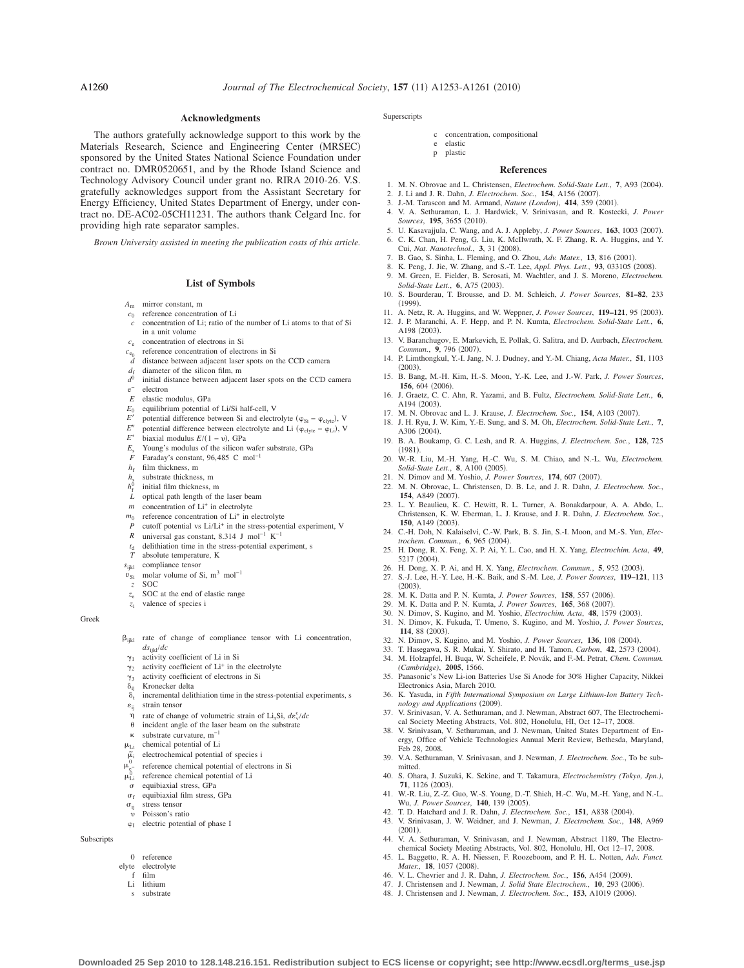#### **Acknowledgments**

The authors gratefully acknowledge support to this work by the Materials Research, Science and Engineering Center (MRSEC) sponsored by the United States National Science Foundation under contract no. DMR0520651, and by the Rhode Island Science and Technology Advisory Council under grant no. RIRA 2010-26. V.S. gratefully acknowledges support from the Assistant Secretary for Energy Efficiency, United States Department of Energy, under contract no. DE-AC02-05CH11231. The authors thank Celgard Inc. for providing high rate separator samples.

*Brown University assisted in meeting the publication costs of this article.*

# **List of Symbols**

- *A*<sup>m</sup> mirror constant, m
- *c*<sup>0</sup> reference concentration of Li
- *c* concentration of Li; ratio of the number of Li atoms to that of Si in a unit volume
- *c*<sup>e</sup> concentration of electrons in Si
- $c_{e_0}$  reference concentration of electrons in Si<br>*d* distance between adiacent laser spots on 1
- distance between adjacent laser spots on the CCD camera
- $d_f$  diameter of the silicon film, m<br> $d^0$  initial distance between adjacen
- initial distance between adjacent laser spots on the CCD camera
- electron *E* elastic modulus, GPa
- 
- $E_0$  equilibrium potential of Li/Si half-cell, V<br> $F'$  potential difference between Si and electric
- *E'* potential difference between Si and electrolyte ( $\varphi_{Si} \varphi_{elyte}$ ), V " potential difference between electrolyte and Li  $(\varphi_{\text{elyte}} - \varphi_{\text{Li}})$ , V
- *E*- $E^*$  biaxial modulus  $E/(1 - v)$ , GPa
- *E*<sup>s</sup> Young's modulus of the silicon wafer substrate, GPa
- *F* Faraday's constant, 96,485 C mol−1
- $h_f$  film thickness, m
- substrate thickness, m
- $h_{\epsilon}^{0}$ initial film thickness, m
- 
- *L* optical path length of the laser beam<br>*m* concentration of  $Li^+$  in electrolyte concentration of Li<sup>+</sup> in electrolyte
- $m_0$  reference concentration of  $Li^+$  in electrolyte
- *P* cutoff potential vs Li/Li<sup>+</sup> in the stress-potential experiment, V<br>*R* universal gas constant 8.314 I mol<sup>-1</sup> K<sup>-1</sup>
- *R* universal gas constant, 8.314 J mol−1 K−1
- $t_d$  delithiation time in the stress-potential experiment, s<br> $T$  absolute temperature. K absolute temperature, K
- *s*ijkl compliance tensor
- $v_{\text{Si}}$  molar volume of Si, m<sup>3</sup> mol<sup>-1</sup>
- *z* SOC
- *z*<sub>e</sub> SOC at the end of elastic range
- *z*<sup>i</sup> valence of species i

#### Greek

- $\beta_{ijkl}$  rate of change of compliance tensor with Li concentration, *ds*ijkl/*dc*
- $\gamma_1$ activity coefficient of Li in Si
- $\gamma_2$ activity coefficient of Li<sup>+</sup> in the electrolyte
- $\gamma_3$  $\gamma_3$  activity coefficient of electrons in Si<br>  $\delta_{ii}$  Kronecker delta
- $\delta_{ij}$  Kronecker delta<br> $\delta_{ij}$  incremental delit
- incremental delithiation time in the stress-potential experiments, s
- $\varepsilon_{ij}$  strain tensor<br>  $\eta$  rate of chang  $\eta$  rate of change of volumetric strain of Li<sub>x</sub>Si,  $d\epsilon_v^c/dc$
- $\theta$  incident angle of the laser beam on the substrate
- substrate curvature, m−1
- $\mu_{Li}$  chemical potential of Li
- $\tilde{\mu}$ <sub>i</sub> electrochemical potential of species i
- $\mu_{e^-}^0$ reference chemical potential of electrons in Si
- reference chemical potential of Li
- $\mu_{\rm Li}^0$
- equibiaxial stress, GPa
- $\sigma_f$  equibiaxial film stress, GPa
- $\sigma_{ij}$  stress tensor  $\upsilon$ Poisson's ratio
- $\varphi_I$  electric potential of phase I
- Subscripts
- 0 reference
- elyte electrolyte
- film Li lithium
	- s substrate
		-

#### **Superscripts**

#### c concentration, compositional

- e elastic
- p plastic

#### **References**

- 1. M. N. Obrovac and L. Christensen, *Electrochem. Solid-State Lett.*, 7, A93 (2004).
- 2. J. Li and J. R. Dahn, *J. Electrochem. Soc.*, **154**, A156 (2007).<br>3. J.-M. Tarascon and M. Armand. *Nature (London)*. **414**, 359 (2007).
- J.-M. Tarascon and M. Armand, *Nature (London)*, 414, 359 (2001).
- <span id="page-7-1"></span><span id="page-7-0"></span>4. V. A. Sethuraman, L. J. Hardwick, V. Srinivasan, and R. Kostecki, *J. Power Sources*, **195**, 3655 (2010).
- <span id="page-7-3"></span><span id="page-7-2"></span>5. U. Kasavajjula, C. Wang, and A. J. Appleby, *J. Power Sources*, **163**, 1003 2007. 6. C. K. Chan, H. Peng, G. Liu, K. McIlwrath, X. F. Zhang, R. A. Huggins, and Y.
- Cui, Nat. Nanotechnol., 3, 31 (2008).
- 7. B. Gao, S. Sinha, L. Fleming, and O. Zhou, *Adv. Mater.*, **13**, 816 2001.
- <span id="page-7-4"></span>8. K. Peng, J. Jie, W. Zhang, and S.-T. Lee, *Appl. Phys. Lett.*, 93, 033105 (2008).
- <span id="page-7-5"></span>9. M. Green, E. Fielder, B. Scrosati, M. Wachtler, and J. S. Moreno, *Electrochem. Solid-State Lett.*, **6**, A75 (2003).
- 10. S. Bourderau, T. Brousse, and D. M. Schleich, *J. Power Sources*, **81–82**, 233  $(1999)$ .
- <span id="page-7-7"></span><span id="page-7-6"></span>11. A. Netz, R. A. Huggins, and W. Weppner, *J. Power Sources*, **119–121**, 95 2003. 12. J. P. Maranchi, A. F. Hepp, and P. N. Kumta, *Electrochem. Solid-State Lett.*, **6**,
- A198 (2003). 13. V. Baranchugov, E. Markevich, E. Pollak, G. Salitra, and D. Aurbach, *Electrochem.*
- <span id="page-7-24"></span>*Commun.*, 9, 796 (2007). 14. P. Limthongkul, Y.-I. Jang, N. J. Dudney, and Y.-M. Chiang, *Acta Mater.*, **51**, 1103  $(2003).$
- 15. B. Bang, M.-H. Kim, H.-S. Moon, Y.-K. Lee, and J.-W. Park, *J. Power Sources*, **156**, 604 (2006).
- <span id="page-7-8"></span>16. J. Graetz, C. C. Ahn, R. Yazami, and B. Fultz, *Electrochem. Solid-State Lett.*, **6**, A194 (2003).
- 17. M. N. Obrovac and L. J. Krause, *J. Electrochem. Soc.*, **154**, A103 (2007).
- <span id="page-7-9"></span>18. J. H. Ryu, J. W. Kim, Y.-E. Sung, and S. M. Oh, *Electrochem. Solid-State Lett.*, **7**, A306 (2004).
- <span id="page-7-10"></span>19. B. A. Boukamp, G. C. Lesh, and R. A. Huggins, *J. Electrochem. Soc.*, **128**, 725  $(1981).$
- <span id="page-7-12"></span><span id="page-7-11"></span>20. W.-R. Liu, M.-H. Yang, H.-C. Wu, S. M. Chiao, and N.-L. Wu, *Electrochem. Solid-State Lett.*, **8**, A100 (2005).
- 21. N. Dimov and M. Yoshio, *J. Power Sources*, 174, 607 (2007).
- 22. M. N. Obrovac, L. Christensen, D. B. Le, and J. R. Dahn, *J. Electrochem. Soc.*, **154.** A849 (2007).
- <span id="page-7-13"></span>23. L. Y. Beaulieu, K. C. Hewitt, R. L. Turner, A. Bonakdarpour, A. A. Abdo, L. Christensen, K. W. Eberman, L. J. Krause, and J. R. Dahn, *J. Electrochem. Soc.*, **150**, A149 (2003).
- <span id="page-7-14"></span>24. C.-H. Doh, N. Kalaiselvi, C.-W. Park, B. S. Jin, S.-I. Moon, and M.-S. Yun, *Electrochem. Commun.*, **6**, 965 (2004).
- 25. H. Dong, R. X. Feng, X. P. Ai, Y. L. Cao, and H. X. Yang, *Electrochim. Acta*, **49**, 5217 (2004).
- 26. H. Dong, X. P. Ai, and H. X. Yang, *Electrochem. Commun.*, **5**, 952 (2003). 27. S.-J. Lee, H.-Y. Lee, H.-K. Baik, and S.-M. Lee, *J. Power Sources*, **119–121**, 113
- $(2003)$ 28. M. K. Datta and P. N. Kumta, *J. Power Sources*, **158**, 557 (2006).
- <span id="page-7-15"></span>29. M. K. Datta and P. N. Kumta, *J. Power Sources*, 165, 368 (2007).
- 30. N. Dimov, S. Kugino, and M. Yoshio, *Electrochim. Acta*, **48**, 1579 2003.
- <span id="page-7-16"></span>31. N. Dimov, K. Fukuda, T. Umeno, S. Kugino, and M. Yoshio, *J. Power Sources*, 114, 88 (2003).
- 32. N. Dimov, S. Kugino, and M. Yoshio, *J. Power Sources*, **136**, 108 2004.
- 33. T. Hasegawa, S. R. Mukai, Y. Shirato, and H. Tamon, *Carbon*, **42**, 2573 2004.
- 34. M. Holzapfel, H. Buqa, W. Scheifele, P. Novák, and F.-M. Petrat, *Chem. Commun. (Cambridge)*, **2005**, 1566.
- 35. Panasonic's New Li-ion Batteries Use Si Anode for 30% Higher Capacity, Nikkei Electronics Asia, March 2010.
- <span id="page-7-17"></span>36. K. Yasuda, in *Fifth International Symposium on Large Lithium-Ion Battery Technology and Applications* (2009).
- <span id="page-7-19"></span><span id="page-7-18"></span>37. V. Srinivasan, V. A. Sethuraman, and J. Newman, Abstract 607, The Electrochemical Society Meeting Abstracts, Vol. 802, Honolulu, HI, Oct 12–17, 2008. 38. V. Srinivasan, V. Sethuraman, and J. Newman, United States Department of En-

<span id="page-7-29"></span><span id="page-7-20"></span>39. V.A. Sethuraman, V. Srinivasan, and J. Newman, *J. Electrochem. Soc.*, To be sub-

40. S. Ohara, J. Suzuki, K. Sekine, and T. Takamura, *Electrochemistry (Tokyo, Jpn.)*,

<span id="page-7-21"></span>41. W.-R. Liu, Z.-Z. Guo, W.-S. Young, D.-T. Shieh, H.-C. Wu, M.-H. Yang, and N.-L.

<span id="page-7-26"></span><span id="page-7-25"></span>44. V. A. Sethuraman, V. Srinivasan, and J. Newman, Abstract 1189, The Electrochemical Society Meeting Abstracts, Vol. 802, Honolulu, HI, Oct 12–17, 2008. 45. L. Baggetto, R. A. H. Niessen, F. Roozeboom, and P. H. L. Notten, *Adv. Funct.*

<span id="page-7-23"></span><span id="page-7-22"></span>42. T. D. Hatchard and J. R. Dahn, *J. Electrochem. Soc.*, **151**, A838 (2004) 43. V. Srinivasan, J. W. Weidner, and J. Newman, *J. Electrochem. Soc.*, **148**, A969

<span id="page-7-32"></span><span id="page-7-31"></span><span id="page-7-30"></span><span id="page-7-28"></span><span id="page-7-27"></span>46. V. L. Chevrier and J. R. Dahn, *J. Electrochem. Soc.*, **156**, A454 2009. 47. J. Christensen and J. Newman, *J. Solid State Electrochem.*, **10**, 293 (2006). 48. J. Christensen and J. Newman, *J. Electrochem. Soc.*, **153**, A1019 2006.

Feb 28, 2008.

**71**, 1126 (2003).

*Mater.*, **18**, 1057 (2008).

Wu, *J. Power Sources*, 140, 139 (2005).

mitted.

 $(2001)$ .

**Downloaded 25 Sep 2010 to 128.148.216.151. Redistribution subject to ECS license or copyright; see http://www.ecsdl.org/terms\_use.jsp**

ergy, Office of Vehicle Technologies Annual Merit Review, Bethesda, Maryland,